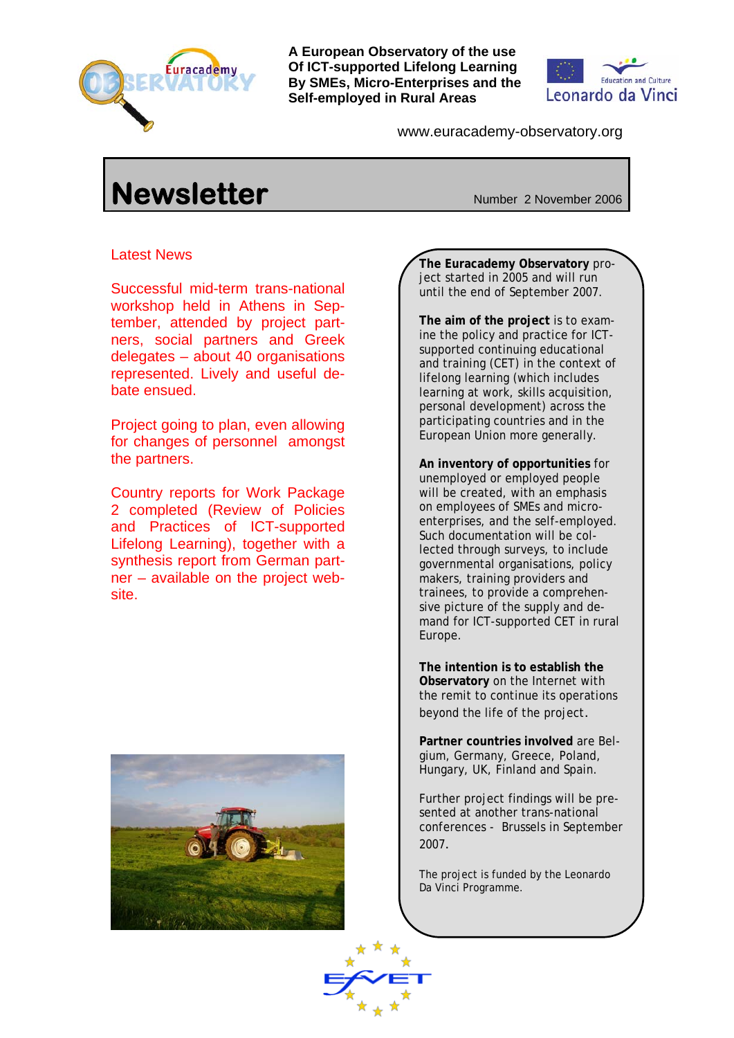

**A European Observatory of the use Of ICT-supported Lifelong Learning By SMEs, Micro-Enterprises and the Self-employed in Rural Areas**



www.euracademy-observatory.org

# **Newsletter** Number 2 November 2006

# Latest News

Successful mid-term trans-national workshop held in Athens in September, attended by project partners, social partners and Greek delegates – about 40 organisations represented. Lively and useful debate ensued.

Project going to plan, even allowing for changes of personnel amongst the partners.

Country reports for Work Package 2 completed (Review of Policies and Practices of ICT-supported Lifelong Learning), together with a synthesis report from German partner – available on the project website.



**The Euracademy Observatory** project started in 2005 and will run until the end of September 2007.

**The aim of the project** is to examine the policy and practice for ICTsupported continuing educational and training (CET) in the context of lifelong learning (which includes learning at work, skills acquisition, personal development) across the participating countries and in the European Union more generally.

**An inventory of opportunities** for unemployed or employed people will be created, with an emphasis on employees of SMEs and microenterprises, and the self-employed. Such documentation will be collected through surveys, to include governmental organisations, policy makers, training providers and trainees, to provide a comprehensive picture of the supply and demand for ICT-supported CET in rural Europe.

**The intention is to establish the Observatory** on the Internet with the remit to continue its operations beyond the life of the project.

**Partner countries involved** are Belgium, Germany, Greece, Poland, Hungary, UK, Finland and Spain.

Further project findings will be presented at another trans-national conferences - Brussels in September 2007.

The project is funded by the Leonardo Da Vinci Programme.

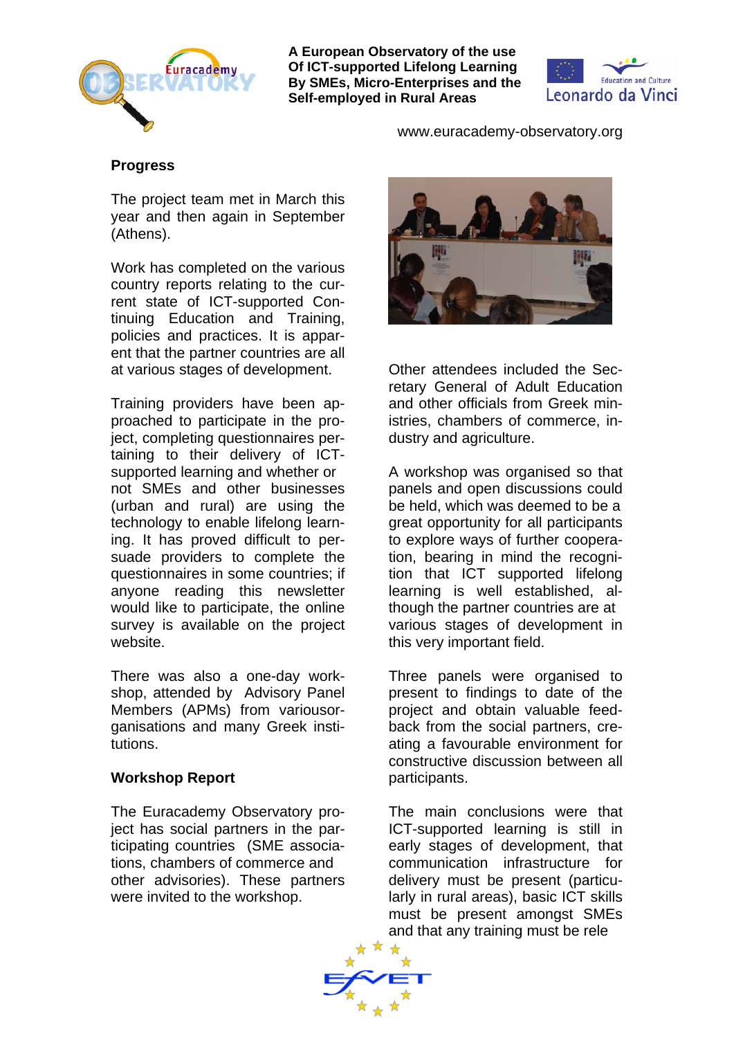

**A European Observatory of the use Of ICT-supported Lifelong Learning By SMEs, Micro-Enterprises and the Self-employed in Rural Areas**



www.euracademy-observatory.org

### **Progress**

The project team met in March this year and then again in September (Athens).

Work has completed on the various country reports relating to the current state of ICT-supported Continuing Education and Training, policies and practices. It is apparent that the partner countries are all at various stages of development.

Training providers have been approached to participate in the project, completing questionnaires pertaining to their delivery of ICTsupported learning and whether or not SMEs and other businesses (urban and rural) are using the technology to enable lifelong learning. It has proved difficult to persuade providers to complete the questionnaires in some countries; if anyone reading this newsletter would like to participate, the online survey is available on the project website.

There was also a one-day workshop, attended by Advisory Panel Members (APMs) from variousorganisations and many Greek institutions.

# **Workshop Report**

The Euracademy Observatory project has social partners in the participating countries (SME associations, chambers of commerce and other advisories). These partners were invited to the workshop.



Other attendees included the Secretary General of Adult Education and other officials from Greek ministries, chambers of commerce, industry and agriculture.

A workshop was organised so that panels and open discussions could be held, which was deemed to be a great opportunity for all participants to explore ways of further cooperation, bearing in mind the recognition that ICT supported lifelong learning is well established, although the partner countries are at various stages of development in this very important field.

Three panels were organised to present to findings to date of the project and obtain valuable feedback from the social partners, creating a favourable environment for constructive discussion between all participants.

The main conclusions were that ICT-supported learning is still in early stages of development, that communication infrastructure for delivery must be present (particularly in rural areas), basic ICT skills must be present amongst SMEs and that any training must be rele